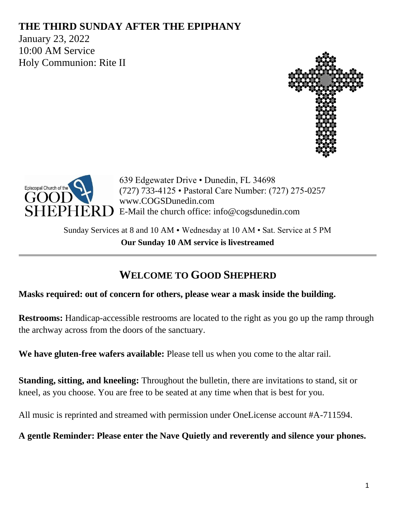## **THE THIRD SUNDAY AFTER THE EPIPHANY**

January 23, 2022 10:00 AM Service Holy Communion: Rite II





639 Edgewater Drive • Dunedin, FL 34698 (727) 733-4125 • Pastoral Care Number: (727) 275-0257 www.COGSDunedin.com E-Mail the church office: info@cogsdunedin.com

Sunday Services at 8 and 10 AM • Wednesday at 10 AM • Sat. Service at 5 PM **Our Sunday 10 AM service is livestreamed**

# **WELCOME TO GOOD SHEPHERD**

#### **Masks required: out of concern for others, please wear a mask inside the building.**

**Restrooms:** Handicap-accessible restrooms are located to the right as you go up the ramp through the archway across from the doors of the sanctuary.

**We have gluten-free wafers available:** Please tell us when you come to the altar rail.

**Standing, sitting, and kneeling:** Throughout the bulletin, there are invitations to stand, sit or kneel, as you choose. You are free to be seated at any time when that is best for you.

All music is reprinted and streamed with permission under OneLicense account #A-711594.

**A gentle Reminder: Please enter the Nave Quietly and reverently and silence your phones.**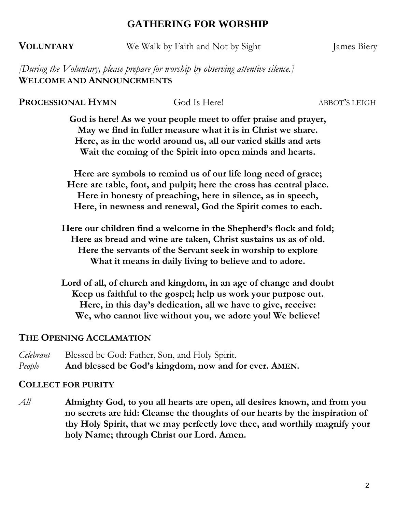### **GATHERING FOR WORSHIP**

**VOLUNTARY** We Walk by Faith and Not by Sight James Biery

*[During the Voluntary, please prepare for worship by observing attentive silence.]* **WELCOME AND ANNOUNCEMENTS**

**PROCESSIONAL HYMN** God Is Here! ABBOT'S LEIGH

**God is here! As we your people meet to offer praise and prayer, May we find in fuller measure what it is in Christ we share. Here, as in the world around us, all our varied skills and arts Wait the coming of the Spirit into open minds and hearts.** 

**Here are symbols to remind us of our life long need of grace; Here are table, font, and pulpit; here the cross has central place. Here in honesty of preaching, here in silence, as in speech, Here, in newness and renewal, God the Spirit comes to each.**

**Here our children find a welcome in the Shepherd's flock and fold; Here as bread and wine are taken, Christ sustains us as of old. Here the servants of the Servant seek in worship to explore What it means in daily living to believe and to adore.** 

**Lord of all, of church and kingdom, in an age of change and doubt Keep us faithful to the gospel; help us work your purpose out. Here, in this day's dedication, all we have to give, receive: We, who cannot live without you, we adore you! We believe!**

#### **THE OPENING ACCLAMATION**

*Celebrant* Blessed be God: Father, Son, and Holy Spirit. *People* **And blessed be God's kingdom, now and for ever. AMEN.**

#### **COLLECT FOR PURITY**

*All* **Almighty God, to you all hearts are open, all desires known, and from you no secrets are hid: Cleanse the thoughts of our hearts by the inspiration of thy Holy Spirit, that we may perfectly love thee, and worthily magnify your holy Name; through Christ our Lord. Amen.**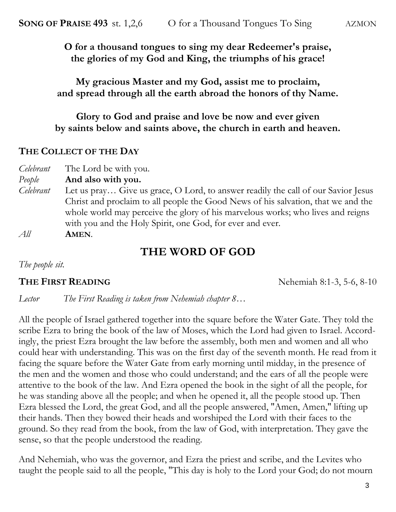**O for a thousand tongues to sing my dear Redeemer's praise, the glories of my God and King, the triumphs of his grace!** 

**My gracious Master and my God, assist me to proclaim, and spread through all the earth abroad the honors of thy Name.**

**Glory to God and praise and love be now and ever given by saints below and saints above, the church in earth and heaven.**

#### **THE COLLECT OF THE DAY**

| Celebrant | The Lord be with you.                                                             |
|-----------|-----------------------------------------------------------------------------------|
| People    | And also with you.                                                                |
| Celebrant | Let us pray Give us grace, O Lord, to answer readily the call of our Savior Jesus |
|           | Christ and proclaim to all people the Good News of his salvation, that we and the |
|           | whole world may perceive the glory of his marvelous works; who lives and reigns   |
|           | with you and the Holy Spirit, one God, for ever and ever.                         |
| All       | AMEN.                                                                             |

## **THE WORD OF GOD**

*The people sit.*

**THE FIRST READING** Nehemiah 8:1-3, 5-6, 8-10

*Lector The First Reading is taken from Nehemiah chapter 8…*

All the people of Israel gathered together into the square before the Water Gate. They told the scribe Ezra to bring the book of the law of Moses, which the Lord had given to Israel. Accordingly, the priest Ezra brought the law before the assembly, both men and women and all who could hear with understanding. This was on the first day of the seventh month. He read from it facing the square before the Water Gate from early morning until midday, in the presence of the men and the women and those who could understand; and the ears of all the people were attentive to the book of the law. And Ezra opened the book in the sight of all the people, for he was standing above all the people; and when he opened it, all the people stood up. Then Ezra blessed the Lord, the great God, and all the people answered, "Amen, Amen," lifting up their hands. Then they bowed their heads and worshiped the Lord with their faces to the ground. So they read from the book, from the law of God, with interpretation. They gave the sense, so that the people understood the reading.

And Nehemiah, who was the governor, and Ezra the priest and scribe, and the Levites who taught the people said to all the people, "This day is holy to the Lord your God; do not mourn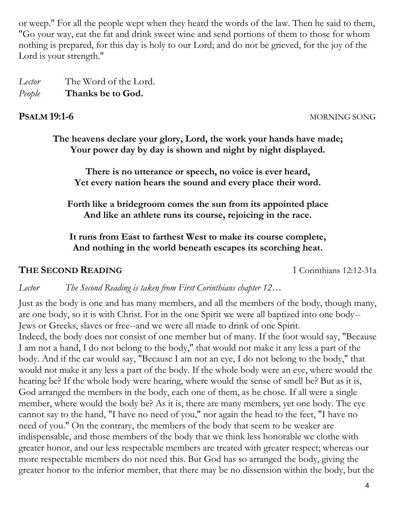or weep." For all the people wept when they heard the words of the law. Then he said to them, "Go your way, eat the fat and drink sweet wine and send portions of them to those for whom nothing is prepared, for this day is holy to our Lord; and do not be grieved, for the joy of the Lord is your strength."

*Lector* The Word of the Lord. *People* **Thanks be to God.**

**PSALM 19:1-6** MORNING SONG

**The heavens declare your glory, Lord, the work your hands have made; Your power day by day is shown and night by night displayed.**

**There is no utterance or speech, no voice is ever heard, Yet every nation hears the sound and every place their word.**

**Forth like a bridegroom comes the sun from its appointed place And like an athlete runs its course, rejoicing in the race.**

**It runs from East to farthest West to make its course complete, And nothing in the world beneath escapes its scorching heat.** 

#### **THE SECOND READING** 1 Corinthians 12:12-31a

*Lector The Second Reading is taken from First Corinthians chapter 12…*

Just as the body is one and has many members, and all the members of the body, though many, are one body, so it is with Christ. For in the one Spirit we were all baptized into one body-- Jews or Greeks, slaves or free--and we were all made to drink of one Spirit.

Indeed, the body does not consist of one member but of many. If the foot would say, "Because I am not a hand, I do not belong to the body," that would not make it any less a part of the body. And if the ear would say, "Because I am not an eye, I do not belong to the body," that would not make it any less a part of the body. If the whole body were an eye, where would the hearing be? If the whole body were hearing, where would the sense of smell be? But as it is, God arranged the members in the body, each one of them, as he chose. If all were a single member, where would the body be? As it is, there are many members, yet one body. The eye cannot say to the hand, "I have no need of you," nor again the head to the feet, "I have no need of you." On the contrary, the members of the body that seem to be weaker are indispensable, and those members of the body that we think less honorable we clothe with greater honor, and our less respectable members are treated with greater respect; whereas our more respectable members do not need this. But God has so arranged the body, giving the greater honor to the inferior member, that there may be no dissension within the body, but the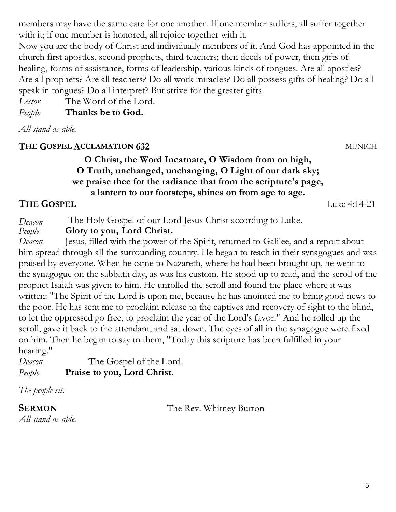5

members may have the same care for one another. If one member suffers, all suffer together with it; if one member is honored, all rejoice together with it.

Now you are the body of Christ and individually members of it. And God has appointed in the church first apostles, second prophets, third teachers; then deeds of power, then gifts of healing, forms of assistance, forms of leadership, various kinds of tongues. Are all apostles? Are all prophets? Are all teachers? Do all work miracles? Do all possess gifts of healing? Do all speak in tongues? Do all interpret? But strive for the greater gifts.

*Lector* The Word of the Lord.

*People* **Thanks be to God.**

*All stand as able.*

## **THE GOSPEL ACCLAMATION 632** MUNICH

### **O Christ, the Word Incarnate, O Wisdom from on high, O Truth, unchanged, unchanging, O Light of our dark sky; we praise thee for the radiance that from the scripture's page, a lantern to our footsteps, shines on from age to age.**

# **THE GOSPEL** Luke 4:14-21

*Deacon* The Holy Gospel of our Lord Jesus Christ according to Luke.

*People* **Glory to you, Lord Christ.**

*Deacon* Jesus, filled with the power of the Spirit, returned to Galilee, and a report about him spread through all the surrounding country. He began to teach in their synagogues and was praised by everyone. When he came to Nazareth, where he had been brought up, he went to the synagogue on the sabbath day, as was his custom. He stood up to read, and the scroll of the prophet Isaiah was given to him. He unrolled the scroll and found the place where it was written: "The Spirit of the Lord is upon me, because he has anointed me to bring good news to the poor. He has sent me to proclaim release to the captives and recovery of sight to the blind, to let the oppressed go free, to proclaim the year of the Lord's favor." And he rolled up the scroll, gave it back to the attendant, and sat down. The eyes of all in the synagogue were fixed on him. Then he began to say to them, "Today this scripture has been fulfilled in your hearing."

*Deacon* The Gospel of the Lord. *People* **Praise to you, Lord Christ.**

*The people sit.*

**SERMON** The Rev. Whitney Burton

*All stand as able.*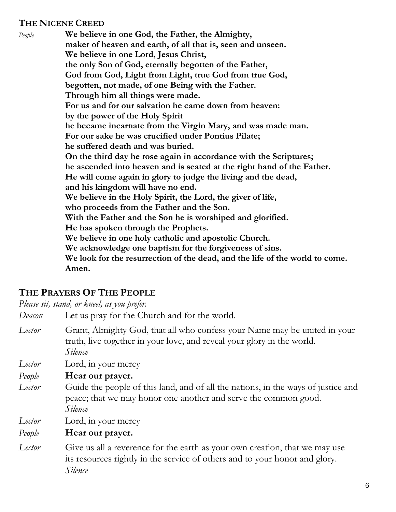#### **THE NICENE CREED**

*People* **We believe in one God, the Father, the Almighty, maker of heaven and earth, of all that is, seen and unseen. We believe in one Lord, Jesus Christ, the only Son of God, eternally begotten of the Father, God from God, Light from Light, true God from true God, begotten, not made, of one Being with the Father. Through him all things were made. For us and for our salvation he came down from heaven: by the power of the Holy Spirit he became incarnate from the Virgin Mary, and was made man. For our sake he was crucified under Pontius Pilate; he suffered death and was buried. On the third day he rose again in accordance with the Scriptures; he ascended into heaven and is seated at the right hand of the Father. He will come again in glory to judge the living and the dead, and his kingdom will have no end. We believe in the Holy Spirit, the Lord, the giver of life, who proceeds from the Father and the Son. With the Father and the Son he is worshiped and glorified. He has spoken through the Prophets. We believe in one holy catholic and apostolic Church. We acknowledge one baptism for the forgiveness of sins. We look for the resurrection of the dead, and the life of the world to come. Amen.**

#### **THE PRAYERS OF THE PEOPLE**

*Please sit, stand, or kneel, as you prefer.*

*Deacon* Let us pray for the Church and for the world.

- *Lector* Grant, Almighty God, that all who confess your Name may be united in your truth, live together in your love, and reveal your glory in the world. *Silence*
- *Lector* Lord, in your mercy
- *People* **Hear our prayer.**
- *Lector* Guide the people of this land, and of all the nations, in the ways of justice and peace; that we may honor one another and serve the common good. *Silence*
- *Lector* Lord, in your mercy
- *People* **Hear our prayer.**
- *Lector* Give us all a reverence for the earth as your own creation, that we may use its resources rightly in the service of others and to your honor and glory. *Silence*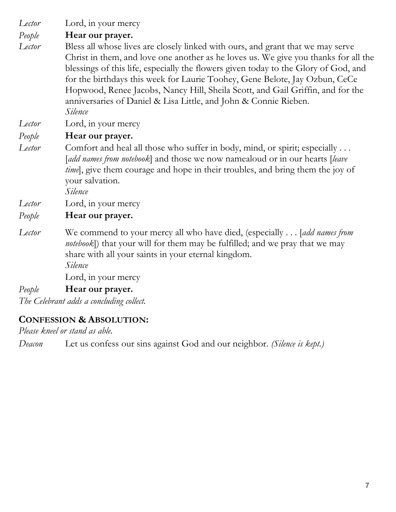*Lector* Lord, in your mercy

*People* **Hear our prayer.**

*Lector* Bless all whose lives are closely linked with ours, and grant that we may serve Christ in them, and love one another as he loves us. We give you thanks for all the blessings of this life, especially the flowers given today to the Glory of God, and for the birthdays this week for Laurie Toohey, Gene Belote, Jay Ozbun, CeCe Hopwood, Renee Jacobs, Nancy Hill, Sheila Scott, and Gail Griffin, and for the anniversaries of Daniel & Lisa Little, and John & Connie Rieben. *Silence*

*Lector* Lord, in your mercy

*People* **Hear our prayer.**

*Lector* Comfort and heal all those who suffer in body, mind, or spirit; especially . . . [*add names from notebook*] and those we now namealoud or in our hearts [*leave time*, give them courage and hope in their troubles, and bring them the joy of your salvation.

*Silence*

*Lector* Lord, in your mercy

#### *People* **Hear our prayer.**

*Lector* We commend to your mercy all who have died, (especially . . . [*add names from notebook*]) that your will for them may be fulfilled; and we pray that we may share with all your saints in your eternal kingdom. *Silence*

Lord, in your mercy

#### *People* **Hear our prayer.**

*The Celebrant adds a concluding collect.* 

#### **CONFESSION & ABSOLUTION:**

*Please kneel or stand as able.*

*Deacon* Let us confess our sins against God and our neighbor. *(Silence is kept.)*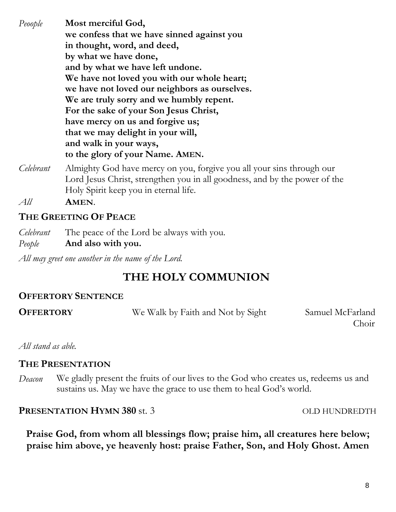*Peoople* **Most merciful God, we confess that we have sinned against you in thought, word, and deed, by what we have done, and by what we have left undone. We have not loved you with our whole heart; we have not loved our neighbors as ourselves. We are truly sorry and we humbly repent. For the sake of your Son Jesus Christ, have mercy on us and forgive us; that we may delight in your will, and walk in your ways, to the glory of your Name. AMEN.** *Celebrant* Almighty God have mercy on you, forgive you all your sins through our Lord Jesus Christ, strengthen you in all goodness, and by the power of the Holy Spirit keep you in eternal life. *All* **AMEN**.

### **THE GREETING OF PEACE**

| Celebrant | The peace of the Lord be always with you. |
|-----------|-------------------------------------------|
| People    | And also with you.                        |

*All may greet one another in the name of the Lord.*

# **THE HOLY COMMUNION**

### **OFFERTORY SENTENCE**

**OFFERTORY** We Walk by Faith and Not by Sight Samuel McFarland

**Choir** 

*All stand as able.*

#### **THE PRESENTATION**

*Deacon* We gladly present the fruits of our lives to the God who creates us, redeems us and sustains us. May we have the grace to use them to heal God's world.

**PRESENTATION HYMN 380** st. 3 OLD HUNDREDTH

**Praise God, from whom all blessings flow; praise him, all creatures here below; praise him above, ye heavenly host: praise Father, Son, and Holy Ghost. Amen**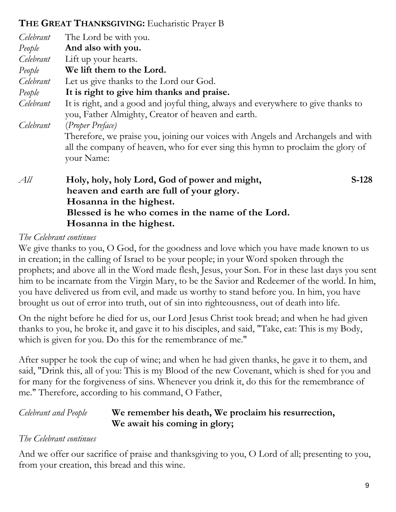## **THE GREAT THANKSGIVING:** Eucharistic Prayer B

 **Hosanna in the highest.** 

| Celebrant | The Lord be with you.                                                                                                                                                                                 |  |  |
|-----------|-------------------------------------------------------------------------------------------------------------------------------------------------------------------------------------------------------|--|--|
| People    | And also with you.                                                                                                                                                                                    |  |  |
| Celebrant | Lift up your hearts.                                                                                                                                                                                  |  |  |
| People    | We lift them to the Lord.                                                                                                                                                                             |  |  |
| Celebrant | Let us give thanks to the Lord our God.                                                                                                                                                               |  |  |
| People    | It is right to give him thanks and praise.                                                                                                                                                            |  |  |
| Celebrant | It is right, and a good and joyful thing, always and everywhere to give thanks to<br>you, Father Almighty, Creator of heaven and earth.                                                               |  |  |
| Celebrant | (Proper Preface)<br>Therefore, we praise you, joining our voices with Angels and Archangels and with<br>all the company of heaven, who for ever sing this hymn to proclaim the glory of<br>your Name: |  |  |
| All       | $S-128$<br>Holy, holy, holy Lord, God of power and might,<br>heaven and earth are full of your glory.<br>Hosanna in the highest.                                                                      |  |  |

#### *The Celebrant continues*

We give thanks to you, O God, for the goodness and love which you have made known to us in creation; in the calling of Israel to be your people; in your Word spoken through the prophets; and above all in the Word made flesh, Jesus, your Son. For in these last days you sent him to be incarnate from the Virgin Mary, to be the Savior and Redeemer of the world. In him, you have delivered us from evil, and made us worthy to stand before you. In him, you have brought us out of error into truth, out of sin into righteousness, out of death into life.

 **Blessed is he who comes in the name of the Lord.** 

On the night before he died for us, our Lord Jesus Christ took bread; and when he had given thanks to you, he broke it, and gave it to his disciples, and said, "Take, eat: This is my Body, which is given for you. Do this for the remembrance of me."

After supper he took the cup of wine; and when he had given thanks, he gave it to them, and said, "Drink this, all of you: This is my Blood of the new Covenant, which is shed for you and for many for the forgiveness of sins. Whenever you drink it, do this for the remembrance of me." Therefore, according to his command, O Father,

#### *Celebrant and People* **We remember his death, We proclaim his resurrection, We await his coming in glory;**

#### *The Celebrant continues*

And we offer our sacrifice of praise and thanksgiving to you, O Lord of all; presenting to you, from your creation, this bread and this wine.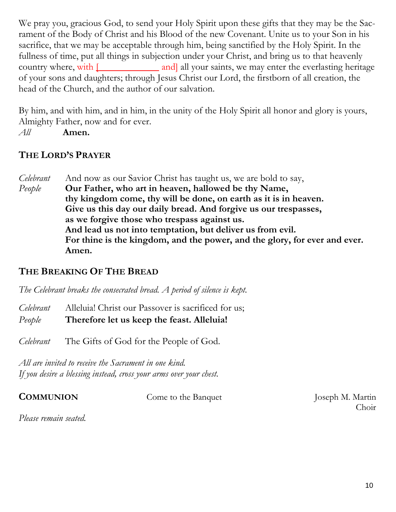We pray you, gracious God, to send your Holy Spirit upon these gifts that they may be the Sacrament of the Body of Christ and his Blood of the new Covenant. Unite us to your Son in his sacrifice, that we may be acceptable through him, being sanctified by the Holy Spirit. In the fullness of time, put all things in subjection under your Christ, and bring us to that heavenly country where, with  $\lbrack$  and all your saints, we may enter the everlasting heritage of your sons and daughters; through Jesus Christ our Lord, the firstborn of all creation, the head of the Church, and the author of our salvation.

By him, and with him, and in him, in the unity of the Holy Spirit all honor and glory is yours, Almighty Father, now and for ever.

*All* **Amen.** 

## **THE LORD'S PRAYER**

*Celebrant* And now as our Savior Christ has taught us, we are bold to say, *People* **Our Father, who art in heaven, hallowed be thy Name, thy kingdom come, thy will be done, on earth as it is in heaven. Give us this day our daily bread. And forgive us our trespasses, as we forgive those who trespass against us. And lead us not into temptation, but deliver us from evil. For thine is the kingdom, and the power, and the glory, for ever and ever. Amen.**

### **THE BREAKING OF THE BREAD**

*The Celebrant breaks the consecrated bread. A period of silence is kept.*

*Celebrant* Alleluia! Christ our Passover is sacrificed for us;

*People* **Therefore let us keep the feast. Alleluia!**

*Celebrant* The Gifts of God for the People of God.

*All are invited to receive the Sacrament in one kind. If you desire a blessing instead, cross your arms over your chest.*

**COMMUNION** Come to the Banquet Joseph M. Martin

**Choir** 

*Please remain seated.*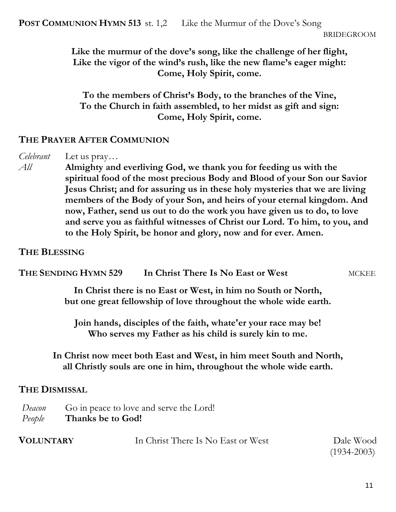**Like the murmur of the dove's song, like the challenge of her flight, Like the vigor of the wind's rush, like the new flame's eager might: Come, Holy Spirit, come.**

**To the members of Christ's Body, to the branches of the Vine, To the Church in faith assembled, to her midst as gift and sign: Come, Holy Spirit, come.**

#### **THE PRAYER AFTER COMMUNION**

*Celebrant* Let us pray…

*All* **Almighty and everliving God, we thank you for feeding us with the spiritual food of the most precious Body and Blood of your Son our Savior Jesus Christ; and for assuring us in these holy mysteries that we are living members of the Body of your Son, and heirs of your eternal kingdom. And now, Father, send us out to do the work you have given us to do, to love and serve you as faithful witnesses of Christ our Lord. To him, to you, and to the Holy Spirit, be honor and glory, now and for ever. Amen.**

#### **THE BLESSING**

| THE SENDING HYMN 529 | In Christ There Is No East or West                                                                                                 | MCKEE |
|----------------------|------------------------------------------------------------------------------------------------------------------------------------|-------|
|                      | In Christ there is no East or West, in him no South or North,<br>but one great fellowship of love throughout the whole wide earth. |       |
|                      | Join hands, disciples of the faith, whate'er your race may be!<br>Who serves my Father as his child is surely kin to me.           |       |

**In Christ now meet both East and West, in him meet South and North, all Christly souls are one in him, throughout the whole wide earth.**

#### **THE DISMISSAL**

| Deacon | Go in peace to love and serve the Lord! |
|--------|-----------------------------------------|
| People | Thanks be to God!                       |

| <b>VOLUNTARY</b> | In Christ There Is No East or West | Dale Wood    |
|------------------|------------------------------------|--------------|
|                  |                                    | (4.02.4.000) |

(1934-2003)